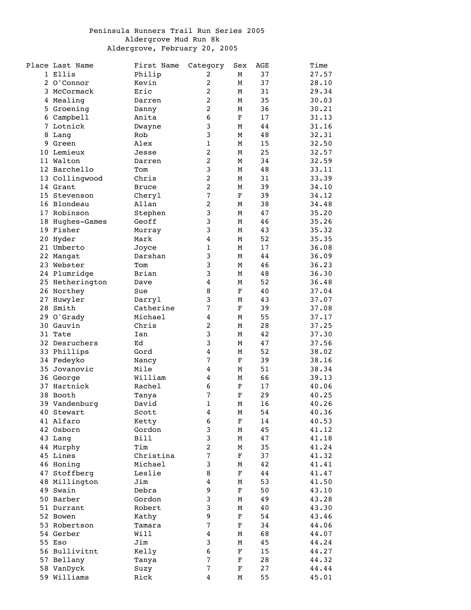## Peninsula Runners Trail Run Series 2005 Aldergrove Mud Run 8k Aldergrove, February 20, 2005

|   | Place Last Name | First Name   | Category                | Sex         | AGE | Time  |
|---|-----------------|--------------|-------------------------|-------------|-----|-------|
|   | 1 Ellis         | Philip       | 2                       | М           | 37  | 27.57 |
|   | 2 O'Connor      | Kevin        | 2                       | М           | 37  | 28.10 |
| 3 | McCormack       | Eric         | 2                       | М           | 31  | 29.34 |
|   | 4 Mealing       | Darren       | $\overline{c}$          | М           | 35  | 30.03 |
|   | 5 Groening      | Danny        | $\overline{a}$          | М           | 36  | 30.21 |
|   | 6 Campbell      | Anita        | $\boldsymbol{6}$        | $\mathbf F$ | 17  | 31.13 |
|   | 7 Lotnick       | Dwayne       | 3                       | М           | 44  | 31.16 |
|   | 8 Lang          | Rob          | 3                       | М           | 48  | 32.31 |
| 9 | Green           | Alex         | $\mathbf 1$             | М           | 15  | 32.50 |
|   | 10 Lemieux      | Jesse        | 2                       | М           | 25  | 32.57 |
|   | 11 Walton       | Darren       | 2                       | М           | 34  | 32.59 |
|   | 12 Barchello    | Tom          | 3                       | М           | 48  | 33.11 |
|   | 13 Collingwood  | Chris        | $\overline{a}$          | М           | 31  | 33.39 |
|   | 14 Grant        | <b>Bruce</b> | $\overline{c}$          | М           | 39  | 34.10 |
|   | 15 Stevenson    |              | $\overline{7}$          | $\mathbf F$ | 39  | 34.12 |
|   |                 | Cheryl       | $\overline{\mathbf{c}}$ |             |     |       |
|   | 16 Blondeau     | Allan        |                         | М           | 38  | 34.48 |
|   | 17 Robinson     | Stephen      | 3                       | М           | 47  | 35.20 |
|   | 18 Hughes-Games | Geoff        | 3                       | М           | 46  | 35.26 |
|   | 19 Fisher       | Murray       | 3                       | М           | 43  | 35.32 |
|   | 20 Hyder        | Mark         | $\overline{\mathbf{4}}$ | М           | 52  | 35.35 |
|   | 21 Umberto      | Joyce        | $\mathbf 1$             | М           | 17  | 36.08 |
|   | 22 Mangat       | Darshan      | 3                       | М           | 44  | 36.09 |
|   | 23 Webster      | Tom          | 3                       | М           | 46  | 36.23 |
|   | 24 Plumridge    | Brian        | 3                       | М           | 48  | 36.30 |
|   | 25 Hetherington | Dave         | 4                       | М           | 52  | 36.48 |
|   | 26 Northey      | Sue          | 8                       | F           | 40  | 37.04 |
|   | 27 Huwyler      | Darryl       | 3                       | М           | 43  | 37.07 |
|   | 28 Smith        | Catherine    | $\sqrt{ }$              | F           | 39  | 37.08 |
|   | 29 O'Grady      | Michael      | $\overline{\mathbf{4}}$ | М           | 55  | 37.17 |
|   | 30 Gauvin       | Chris        | $\overline{a}$          | М           | 28  | 37.25 |
|   | 31 Tate         | Ian          | 3                       | М           | 42  | 37.30 |
|   | 32 Desruchers   | Ed           | 3                       | М           | 47  | 37.56 |
|   | 33 Phillips     | Gord         | 4                       | М           | 52  | 38.02 |
|   | 34 Fedeyko      | Nancy        | 7                       | $\mathbf F$ | 39  | 38.16 |
|   | 35 Jovanovic    | Mile         | 4                       | М           | 51  | 38.34 |
|   | 36 George       | William      | 4                       | М           | 66  | 39.13 |
|   | 37 Hartnick     |              | $\sqrt{6}$              |             |     |       |
|   |                 | Rachel       |                         | $\mathbf F$ | 17  | 40.06 |
|   | 38 Booth        | Tanya        | 7                       | $\mathbf F$ | 29  | 40.25 |
|   | 39 Vandenburg   | David        | $\mathbf{1}$            | М           | 16  | 40.26 |
|   | 40 Stewart      | Scott        | 4                       | М           | 54  | 40.36 |
|   | 41 Alfaro       | Ketty        | 6                       | $\mathbf F$ | 14  | 40.53 |
|   | 42 Osborn       | Gordon       | 3                       | М           | 45  | 41.12 |
|   | 43 Lang         | <b>Bill</b>  | 3                       | М           | 47  | 41.18 |
|   | 44 Murphy       | Tim          | $\overline{c}$          | М           | 35  | 41.24 |
|   | 45 Lines        | Christina    | $\sqrt{ }$              | $\mathbf F$ | 37  | 41.32 |
|   | 46 Honing       | Michael      | 3                       | М           | 42  | 41.41 |
|   | 47 Stoffberg    | Leslie       | 8                       | $\mathbf F$ | 44  | 41.47 |
|   | 48 Millington   | Jim          | 4                       | М           | 53  | 41.50 |
|   | 49 Swain        | Debra        | 9                       | $\mathbf F$ | 50  | 43.10 |
|   | 50 Barber       | Gordon       | 3                       | М           | 49  | 43.28 |
|   | 51 Durrant      | Robert       | 3                       | М           | 40  | 43.30 |
|   | 52 Bowen        | Kathy        | 9                       | $\mathbf F$ | 54  | 43.46 |
|   | 53 Robertson    | Tamara       | $\overline{7}$          | $\mathbf F$ | 34  | 44.06 |
|   | 54 Gerber       | Will         | $\boldsymbol{4}$        | М           | 68  | 44.07 |
|   | 55 Eso          | Jim          | 3                       | М           | 45  | 44.24 |
|   | 56 Bullivitnt   | Kelly        | $\bf 6$                 | F           | 15  | 44.27 |
|   | 57 Bellany      | Tanya        | $\boldsymbol{7}$        | $\mathbf F$ | 28  | 44.32 |
|   | 58 VanDyck      | Suzy         | 7                       | $\mathbf F$ | 27  | 44.44 |
|   | 59 Williams     | Rick         | $\overline{4}$          | М           | 55  | 45.01 |
|   |                 |              |                         |             |     |       |